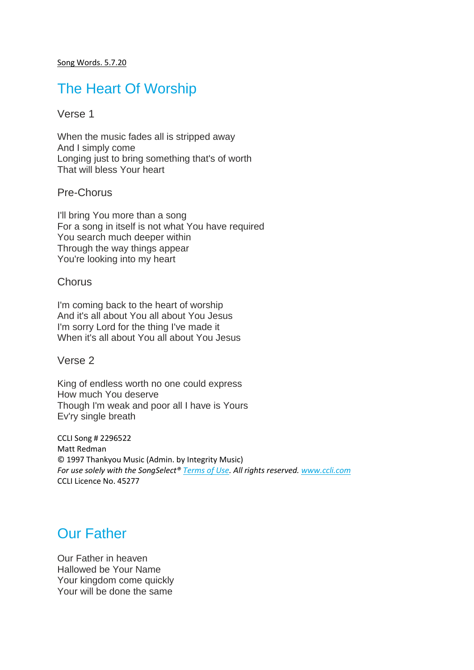# The Heart Of Worship

#### Verse 1

When the music fades all is stripped away And I simply come Longing just to bring something that's of worth That will bless Your heart

#### Pre-Chorus

I'll bring You more than a song For a song in itself is not what You have required You search much deeper within Through the way things appear You're looking into my heart

#### **Chorus**

I'm coming back to the heart of worship And it's all about You all about You Jesus I'm sorry Lord for the thing I've made it When it's all about You all about You Jesus

### Verse 2

King of endless worth no one could express How much You deserve Though I'm weak and poor all I have is Yours Ev'ry single breath

CCLI Song # 2296522 Matt Redman © 1997 Thankyou Music (Admin. by Integrity Music) *For use solely with the SongSelect® [Terms of Use.](https://songselect.ccli.com/about/termsofuse) All rights reserved. [www.ccli.com](http://www.ccli.com/)* CCLI Licence No. 45277

## Our Father

Our Father in heaven Hallowed be Your Name Your kingdom come quickly Your will be done the same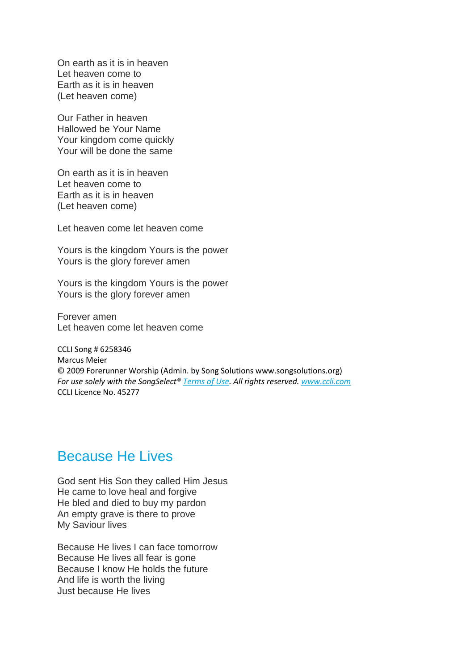On earth as it is in heaven Let heaven come to Earth as it is in heaven (Let heaven come)

Our Father in heaven Hallowed be Your Name Your kingdom come quickly Your will be done the same

On earth as it is in heaven Let heaven come to Earth as it is in heaven (Let heaven come)

Let heaven come let heaven come

Yours is the kingdom Yours is the power Yours is the glory forever amen

Yours is the kingdom Yours is the power Yours is the glory forever amen

Forever amen Let heaven come let heaven come

CCLI Song # 6258346 Marcus Meier © 2009 Forerunner Worship (Admin. by Song Solutions www.songsolutions.org) *For use solely with the SongSelect® [Terms of Use.](https://songselect.ccli.com/about/termsofuse) All rights reserved. [www.ccli.com](http://www.ccli.com/)* CCLI Licence No. 45277

### Because He Lives

God sent His Son they called Him Jesus He came to love heal and forgive He bled and died to buy my pardon An empty grave is there to prove My Saviour lives

Because He lives I can face tomorrow Because He lives all fear is gone Because I know He holds the future And life is worth the living Just because He lives